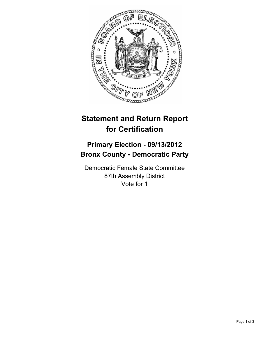

## **Statement and Return Report for Certification**

## **Primary Election - 09/13/2012 Bronx County - Democratic Party**

Democratic Female State Committee 87th Assembly District Vote for 1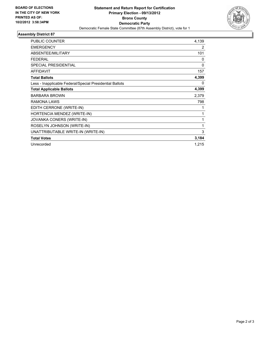

## **Assembly District 87**

| <b>PUBLIC COUNTER</b>                                    | 4,139        |
|----------------------------------------------------------|--------------|
| <b>EMERGENCY</b>                                         | 2            |
| ABSENTEE/MILITARY                                        | 101          |
| <b>FEDERAL</b>                                           | 0            |
| SPECIAL PRESIDENTIAL                                     | $\mathbf{0}$ |
| <b>AFFIDAVIT</b>                                         | 157          |
| <b>Total Ballots</b>                                     | 4,399        |
| Less - Inapplicable Federal/Special Presidential Ballots | 0            |
| <b>Total Applicable Ballots</b>                          | 4,399        |
| <b>BARBARA BROWN</b>                                     | 2,379        |
| RAMONA LAWS                                              | 798          |
| EDITH CERRONE (WRITE-IN)                                 | 1            |
| HORTENCIA MENDEZ (WRITE-IN)                              | 1            |
| JOVANKA CONERS (WRITE-IN)                                | 1            |
| ROSELYN JOHNSON (WRITE-IN)                               | 1            |
| UNATTRIBUTABLE WRITE-IN (WRITE-IN)                       | 3            |
| <b>Total Votes</b>                                       | 3,184        |
| Unrecorded                                               | 1,215        |